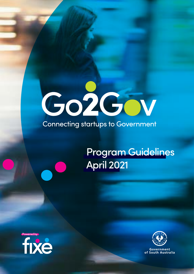# Co2Gov

### **Connecting startups to Government**

 $\overline{\mathbf{C}}$ 

## Program Guidelines April 2021





Government of South Australia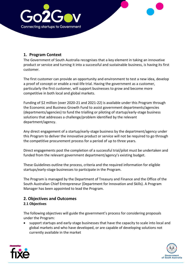

#### **1. Program Context**

The Government of South Australia recognises that a key element in taking an innovative product or service and turning it into a successful and sustainable business, is having its first customer.

The first customer can provide an opportunity and environment to test a new idea, develop a proof of concept or enable a real-life trial. Having the government as a customer, particularly the first customer, will support businesses to grow and become more competitive in both local and global markets.

Funding of \$2 million (over 2020-21 and 2021-22) is available under this Program through the Economic and Business Growth Fund to assist government departments/agencies (departments/agencies) to fund the trialling or piloting of startup/early-stage business solutions that addresses a challenge/problem identified by the relevant department/agency.

Any direct engagement of a startup/early-stage business by the department/agency under this Program to deliver the innovative product or service will not be required to go through the competitive procurement process for a period of up to three years.

Direct engagements post the completion of a successful trial/pilot must be undertaken and funded from the relevant government department/agency's existing budget.

These Guidelines outline the process, criteria and the required information for eligible startups/early-stage businesses to participate in the Program.

The Program is managed by the Department of Treasury and Finance and the Office of the South Australian Chief Entrepreneur (Department for Innovation and Skills). A Program Manager has been appointed to lead the Program.

#### **2. Objectives and Outcomes 2.1 Objectives**

The following objectives will guide the government's process for considering proposals under the Program:

• support startups and early-stage businesses that have the capacity to scale into local and global markets and who have developed, or are capable of developing solutions not currently available in the market



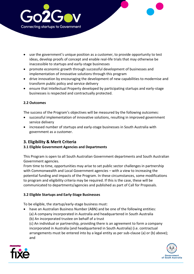

- use the government's unique position as a customer, to provide opportunity to test ideas, develop proofs of concept and enable real-life trials that may otherwise be inaccessible to startups and early-stage businesses
- promote economic growth through successful development of businesses and implementation of innovative solutions through this program
- drive innovation by encouraging the development of new capabilities to modernise and transform public policy and service delivery
- ensure that Intellectual Property developed by participating startups and early-stage businesses is respected and contractually protected.

#### **2.2 Outcomes**

The success of the Program's objectives will be measured by the following outcomes:

- successful implementation of innovative solutions, resulting in improved government service delivery
- increased number of startups and early-stage businesses in South Australia with government as a customer.

#### **3. Eligibility & Merit Criteria**

#### **3.1 Eligible Government Agencies and Departments**

This Program is open to all South Australian Government departments and South Australian Government agencies.

From time to time, opportunities may arise to set public sector challenges in partnership with Commonwealth and Local Government agencies – with a view to increasing the potential funding and impacts of the Program. In these circumstances, some modifications to program and eligibility criteria may be required. If this is the case, these will be communicated to departments/agencies and published as part of Call for Proposals.

#### **3.2 Eligible Startups and Early-Stage Businesses**

To be eligible, the startup/early-stage business must:

• have an Australian Business Number (ABN) and be one of the following entities: (a) A company incorporated in Australia and headquartered in South Australia (b) An incorporated trustee on behalf of a trust

(c) An individual or partnership, providing there is an agreement to form a company incorporated in Australia (and headquartered in South Australia) (i.e. contractual arrangements must be entered into by a legal entity as per sub-clause (a) or (b) above); and



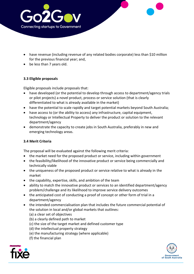

- have revenue (including revenue of any related bodies corporate) less than \$10 million for the previous financial year; and,
- be less than 7 years old.

#### **3.3 Eligible proposals**

Eligible proposals include proposals that:

- have developed (or the potential to develop through access to department/agency trials or pilot projects) a novel product, process or service solution (that is clearly differentiated to what is already available in the market)
- have the potential to scale rapidly and target potential markets beyond South Australia;
- have access to (or the ability to access) any infrastructure, capital equipment, technology or Intellectual Property to deliver the product or solution to the relevant department/agency
- demonstrate the capacity to create jobs in South Australia, preferably in new and emerging technology areas.

#### **3.4 Merit Criteria**

The proposal will be evaluated against the following merit criteria:

- the market need for the proposed product or service, including within government
- the feasibility/likelihood of the innovative product or service being commercially and technically viable
- the uniqueness of the proposed product or service relative to what is already in the market
- the capability, expertise, skills, and ambition of the team
- ability to match the innovative product or services to an identified department/agency problem/challenge and its likelihood to improve service delivery outcomes
- the anticipated cost of conducting a proof of concept or other form of trial in a department/agency
- the intended commercialisation plan that includes the future commercial potential of the solution in local and/or global markets that outlines:
	- (a) a clear set of objectives
	- (b) a clearly defined path to market
	- (c) the size of the target market and defined customer type
	- (d) the intellectual property strategy
	- (e) the manufacturing strategy (where applicable)
	- (f) the financial plan



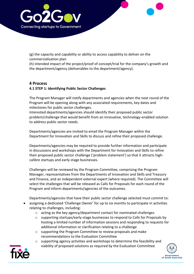

(g) the capacity and capability or ability to access capability to deliver on the commercialisation plan

(h) intended impact of the project/proof of concept/trial for the company's growth and the department/agency (deliverables to the department/agency).

#### **4 Process**

#### **4.1 STEP 1: Identifying Public Sector Challenges**

The Program Manager will notify departments and agencies when the next round of the Program will be opening along with any associated requirements, key dates and milestones for public sector challenges.

Interested departments/agencies should identify their proposed public sector problem/challenge that would benefit from an innovative, technology-enabled solution to address public sector needs.

Departments/agencies are invited to email the Program Manager within the Department for Innovation and Skills to discuss and refine their proposed challenge.

Departments/agencies may be required to provide further information and participate in discussions and workshops with the Department for Innovation and Skills to refine their proposed public sector challenge ('problem statement') so that it attracts highcalibre startups and early-stage businesses.

Challenges will be reviewed by the Program Committee, comprising the Program Manager, representatives from the Departments of Innovation and Skills and Treasury and Finance, and an independent external expert (where required). The Committee will select the challenges that will be released as Calls for Proposals for each round of the Program and inform departments/agencies of the outcomes.

Departments/agencies that have their public sector challenge selected must commit to:

- assigning a dedicated 'Challenge Owner' for up to six months to participate in activities relating to challenges, including:
	- o acting as the key agency/department contact for nominated challenges
	- o supporting startups/early-stage businesses to respond to Calls for Proposals by hosting a limited number of information sessions and responding to requests for additional information or clarification relating to a challenge
	- o supporting the Program Committee to review proposals and make recommendations to the Evaluation Committee
	- o supporting agency activities and workshops to determine the feasibility and viability of proposed solutions as required by the Evaluation Committee



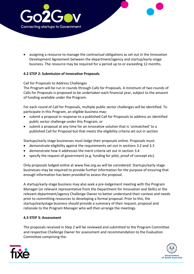

• assigning a resource to manage the contractual obligations as set out in the Innovation Development Agreement between the department/agency and startup/early-stage business. The resource may be required for a period up to or exceeding 12 months.

#### **4.2 STEP 2: Submission of Innovative Proposals**

#### Call for Proposals to Address Challenges

The Program will be run in rounds through Calls for Proposals. A minimum of two rounds of Calls for Proposals is proposed to be undertaken each financial year, subject to the amount of funding available under the Program.

For each round of Call for Proposals, multiple public sector challenges will be identified. To participate in this Program, an eligible business may:

- submit a proposal in response to a published Call for Proposals to address an identified public sector challenge under this Program; or
- submit a proposal at any time for an innovative solution that is 'unmatched' to a published Call for Proposal but that meets the eligibility criteria set out in section

Startups/early-stage businesses must lodge their proposals online. Proposals must:

- demonstrate eligibility against the requirements set out in sections 3.2 and 3.3
- demonstrate how it addresses the merit criteria set out in section 3.4
- specify the request of government (e.g. funding for pilot, proof of concept etc).

Only proposals lodged online at www.fixe.org.au will be considered. Startups/early-stage businesses may be required to provide further information for the purpose of ensuring that enough information has been provided to assess the proposal.

A startup/early-stage business may also seek a pre-lodgement meeting with the Program Manager (or relevant representative from the Department for Innovation and Skills) or the relevant department/agency Challenge Owner to better understand their context and needs prior to committing resources to developing a formal proposal. Prior to this, the startup/earlystage business should provide a summary of their request, proposal and rationale to the Program Manager who will then arrange the meetings.

#### **4.3 STEP 3: Assessment**

The proposals received in Step 2 will be reviewed and submitted to the Program Committee and respective Challenge Owner for assessment and recommendation to the Evaluation Committee comprising the:



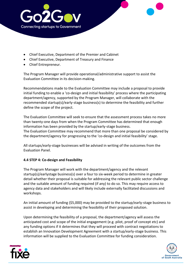

- Chief Executive, Department of the Premier and Cabinet
- Chief Executive, Department of Treasury and Finance
- Chief Entrepreneur.

The Program Manager will provide operational/administrative support to assist the Evaluation Committee in its decision-making.

Recommendations made to the Evaluation Committee may include a proposal to provide initial funding to enable a 'co-design and initial feasibility' process where the participating department/agency, supported by the Program Manager, will collaborate with the recommended startup(s)/early-stage business(s) to determine the feasibility and further define the scope of the project.

The Evaluation Committee will seek to ensure that the assessment process takes no more than twenty-one days from when the Program Committee has determined that enough information has been provided by the startup/early-stage business. The Evaluation Committee may recommend that more than one proposal be considered by the department/agency for progressing to the 'co-design and initial feasibility' stage.

All startups/early-stage businesses will be advised in writing of the outcomes from the Evaluation Panel.

#### **4.4 STEP 4: Co-design and Feasibility**

The Program Manager will work with the department/agency and the relevant startup(s)/earlystage business(s) over a four to six-week period to determine in greater detail whether their proposal is suitable for addressing the relevant public sector challenge and the suitable amount of funding required (if any) to do so. This may require access to agency data and stakeholders and will likely include externally facilitated discussions and workshops.

An initial amount of funding (\$5,000) may be provided to the startup/early-stage business to assist in developing and determining the feasibility of their proposed solution.

Upon determining the feasibility of a proposal, the department/agency will assess the anticipated cost and scope of the initial engagement (e.g. pilot, proof of concept etc) and any funding options if it determines that they will proceed with contract negotiations to establish an Innovation Development Agreement with a startup/early-stage business. This information will be supplied to the Evaluation Committee for funding consideration.



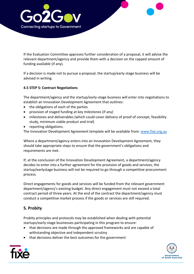

If the Evaluation Committee approves further consideration of a proposal, it will advise the relevant department/agency and provide them with a decision on the capped amount of funding available (if any).

If a decision is made not to pursue a proposal, the startup/early-stage business will be advised in writing.

#### **4.5 STEP 5: Contract Negotiations**

The department/agency and the startup/early-stage business will enter into negotiations to establish an Innovation Development Agreement that outlines:

- the obligations of each of the parties
- provision of staged funding at key milestones (if any)
- milestones and deliverables (which could cover delivery of proof of concept, feasibility study, minimum viable product and trial)
- reporting obligations.

The Innovation Development Agreement template will be available from: [www.fixe.org.au](http://www.fixe.org.au/)

Where a department/agency enters into an Innovation Development Agreement, they should take appropriate steps to ensure that the government's obligations and requirements are met.

If, at the conclusion of the Innovation Development Agreement, a department/agency decides to enter into a further agreement for the provision of goods and services, the startup/earlystage business will not be required to go through a competitive procurement process.

Direct engagements for goods and services will be funded from the relevant government department/agency's existing budget. Any direct engagement must not exceed a total contract period of three-years. At the end of the contract the department/agency must conduct a competitive market process if the goods or services are still required.

#### **5. Probity**

Probity principles and protocols may be established when dealing with potential startups/early-stage businesses participating in this program to ensure:

- that decisions are made through the approved frameworks and are capable of withstanding objective and independent scrutiny
- that decisions deliver the best outcomes for the government



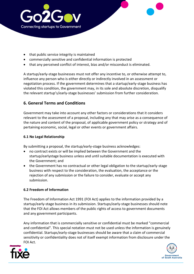

- that public service integrity is maintained
- commercially sensitive and confidential information is protected
- that any perceived conflict of interest, bias and/or misconduct is eliminated.

A startup/early-stage businesses must not offer any incentive to, or otherwise attempt to, influence any person who is either directly or indirectly involved in an assessment or negotiation process. If the government determines that a startup/early-stage business has violated this condition, the government may, in its sole and absolute discretion, disqualify the relevant startup's/early-stage businesses' submission from further consideration.

#### **6. General Terms and Conditions**

Government may take into account any other factors or considerations that it considers relevant to the assessment of a proposal, including any that may arise as a consequence of the nature and content of the proposal, of applicable government policy or strategy and of pertaining economic, social, legal or other events or government affairs.

#### **6.1 No Legal Relationship**

By submitting a proposal, the startup/early-stage business acknowledges:

- no contract exists or will be implied between the Government and the startup/earlystage business unless and until suitable documentation is executed with the Government; and
- the Government has no contractual or other legal obligation to the startup/early-stage business with respect to the consideration, the evaluation, the acceptance or the rejection of any submission or the failure to consider, evaluate or accept any submission.

#### **6.2 Freedom of Information**

The Freedom of Information Act 1991 (FOI Act) applies to the information provided by a startup/early-stage business in its submission. Startups/early-stage businesses should note that the FOI Act allows members of the public rights of access to government documents and any government participants.

Any information that is commercially sensitive or confidential must be marked "commercial and confidential". This special notation must not be used unless the information is genuinely confidential. Startups/early-stage businesses should be aware that a claim of commercial sensitivity or confidentiality does not of itself exempt information from disclosure under the FOI Act.



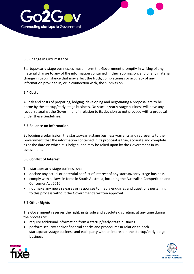

#### **6.3 Change in Circumstance**

Startups/early-stage businesses must inform the Government promptly in writing of any material change to any of the information contained in their submission, and of any material change in circumstance that may affect the truth, completeness or accuracy of any information provided in, or in connection with, the submission.

#### **6.4 Costs**

All risk and costs of preparing, lodging, developing and negotiating a proposal are to be borne by the startup/early-stage business. No startup/early-stage business will have any recourse against the Government in relation to its decision to not proceed with a proposal under these Guidelines.

#### **6.5 Reliance on Information**

By lodging a submission, the startup/early-stage business warrants and represents to the Government that the information contained in its proposal is true, accurate and complete as at the date on which it is lodged, and may be relied upon by the Government in its assessment.

#### **6.6 Conflict of Interest**

The startup/early-stage business shall:

- declare any actual or potential conflict of interest of any startup/early-stage business
- comply with all laws in force in South Australia, including the Australian Competition and Consumer Act 2010
- not make any news releases or responses to media enquiries and questions pertaining to this process without the Government's written approval.

#### **6.7 Other Rights**

The Government reserves the right, in its sole and absolute discretion, at any time during the process to:

- require additional information from a startup/early-stage business
- perform security and/or financial checks and procedures in relation to each startup/earlystage business and each party with an interest in the startup/early-stage business